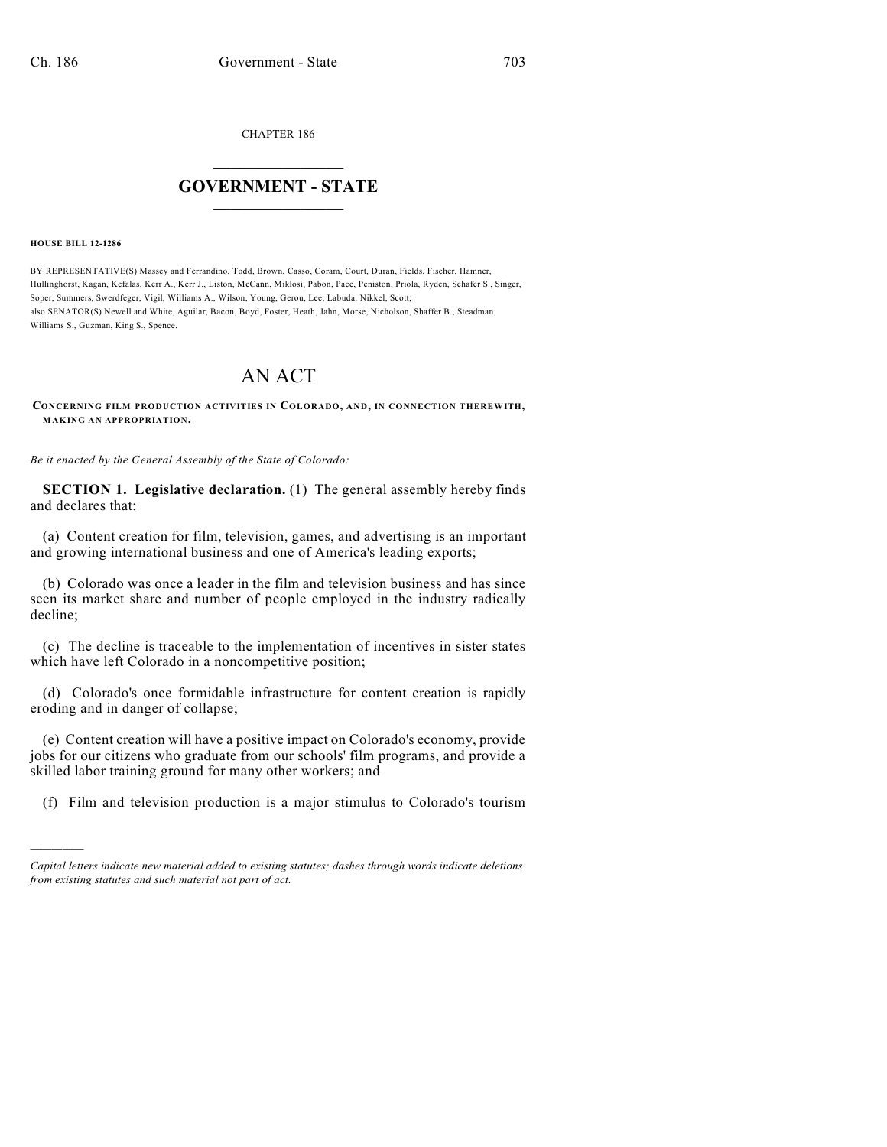CHAPTER 186

## $\mathcal{L}_\text{max}$  . The set of the set of the set of the set of the set of the set of the set of the set of the set of the set of the set of the set of the set of the set of the set of the set of the set of the set of the set **GOVERNMENT - STATE**  $\_$   $\_$   $\_$   $\_$   $\_$   $\_$   $\_$   $\_$

**HOUSE BILL 12-1286**

)))))

BY REPRESENTATIVE(S) Massey and Ferrandino, Todd, Brown, Casso, Coram, Court, Duran, Fields, Fischer, Hamner, Hullinghorst, Kagan, Kefalas, Kerr A., Kerr J., Liston, McCann, Miklosi, Pabon, Pace, Peniston, Priola, Ryden, Schafer S., Singer, Soper, Summers, Swerdfeger, Vigil, Williams A., Wilson, Young, Gerou, Lee, Labuda, Nikkel, Scott; also SENATOR(S) Newell and White, Aguilar, Bacon, Boyd, Foster, Heath, Jahn, Morse, Nicholson, Shaffer B., Steadman, Williams S., Guzman, King S., Spence.

## AN ACT

**CONCERNING FILM PRODUCTION ACTIVITIES IN COLORADO, AND, IN CONNECTION THEREWITH, MAKING AN APPROPRIATION.**

*Be it enacted by the General Assembly of the State of Colorado:*

**SECTION 1. Legislative declaration.** (1) The general assembly hereby finds and declares that:

(a) Content creation for film, television, games, and advertising is an important and growing international business and one of America's leading exports;

(b) Colorado was once a leader in the film and television business and has since seen its market share and number of people employed in the industry radically decline;

(c) The decline is traceable to the implementation of incentives in sister states which have left Colorado in a noncompetitive position;

(d) Colorado's once formidable infrastructure for content creation is rapidly eroding and in danger of collapse;

(e) Content creation will have a positive impact on Colorado's economy, provide jobs for our citizens who graduate from our schools' film programs, and provide a skilled labor training ground for many other workers; and

(f) Film and television production is a major stimulus to Colorado's tourism

*Capital letters indicate new material added to existing statutes; dashes through words indicate deletions from existing statutes and such material not part of act.*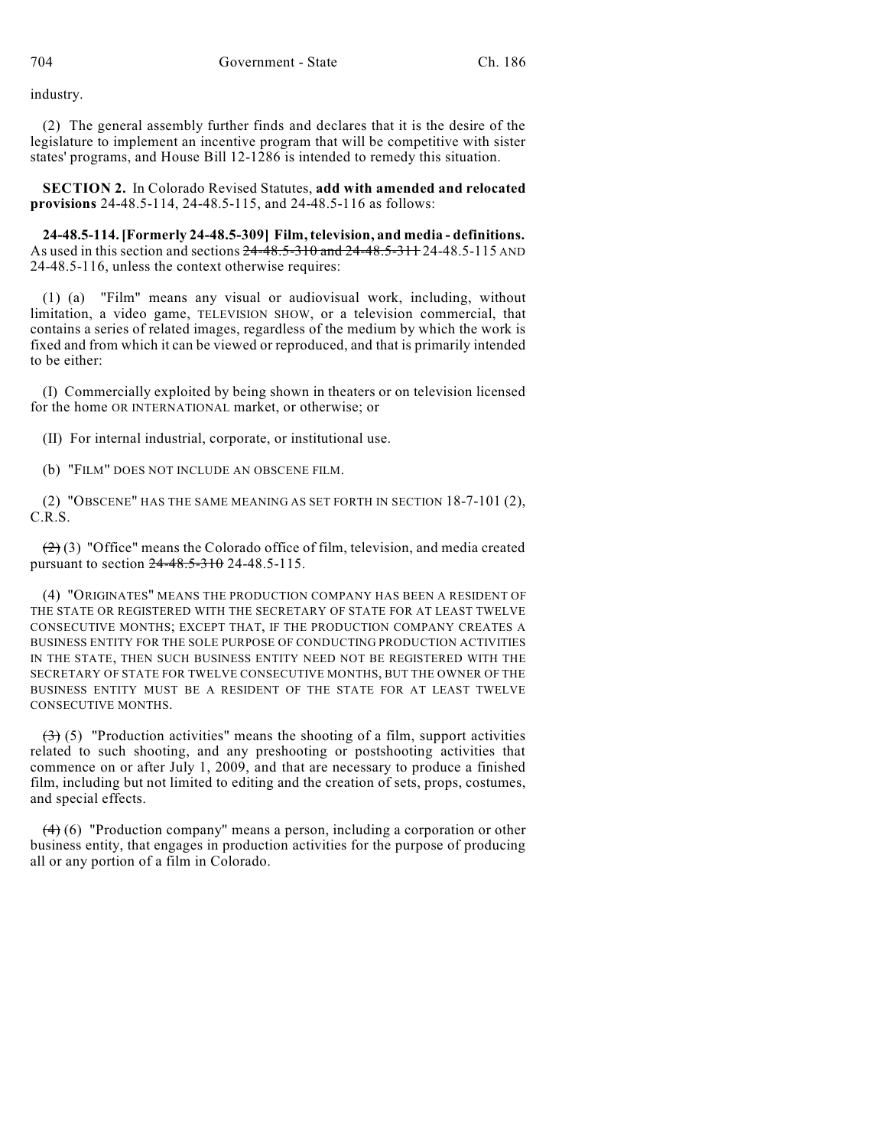industry.

(2) The general assembly further finds and declares that it is the desire of the legislature to implement an incentive program that will be competitive with sister states' programs, and House Bill 12-1286 is intended to remedy this situation.

**SECTION 2.** In Colorado Revised Statutes, **add with amended and relocated provisions** 24-48.5-114, 24-48.5-115, and 24-48.5-116 as follows:

**24-48.5-114. [Formerly 24-48.5-309] Film,television, and media - definitions.** As used in this section and sections 24-48.5-310 and 24-48.5-311 24-48.5-115 AND 24-48.5-116, unless the context otherwise requires:

(1) (a) "Film" means any visual or audiovisual work, including, without limitation, a video game, TELEVISION SHOW, or a television commercial, that contains a series of related images, regardless of the medium by which the work is fixed and from which it can be viewed or reproduced, and that is primarily intended to be either:

(I) Commercially exploited by being shown in theaters or on television licensed for the home OR INTERNATIONAL market, or otherwise; or

(II) For internal industrial, corporate, or institutional use.

(b) "FILM" DOES NOT INCLUDE AN OBSCENE FILM.

(2) "OBSCENE" HAS THE SAME MEANING AS SET FORTH IN SECTION 18-7-101 (2), C.R.S.

 $(2)$  (3) "Office" means the Colorado office of film, television, and media created pursuant to section 24-48.5-310 24-48.5-115.

(4) "ORIGINATES" MEANS THE PRODUCTION COMPANY HAS BEEN A RESIDENT OF THE STATE OR REGISTERED WITH THE SECRETARY OF STATE FOR AT LEAST TWELVE CONSECUTIVE MONTHS; EXCEPT THAT, IF THE PRODUCTION COMPANY CREATES A BUSINESS ENTITY FOR THE SOLE PURPOSE OF CONDUCTING PRODUCTION ACTIVITIES IN THE STATE, THEN SUCH BUSINESS ENTITY NEED NOT BE REGISTERED WITH THE SECRETARY OF STATE FOR TWELVE CONSECUTIVE MONTHS, BUT THE OWNER OF THE BUSINESS ENTITY MUST BE A RESIDENT OF THE STATE FOR AT LEAST TWELVE CONSECUTIVE MONTHS.

 $(3)$  (5) "Production activities" means the shooting of a film, support activities related to such shooting, and any preshooting or postshooting activities that commence on or after July 1, 2009, and that are necessary to produce a finished film, including but not limited to editing and the creation of sets, props, costumes, and special effects.

(4) (6) "Production company" means a person, including a corporation or other business entity, that engages in production activities for the purpose of producing all or any portion of a film in Colorado.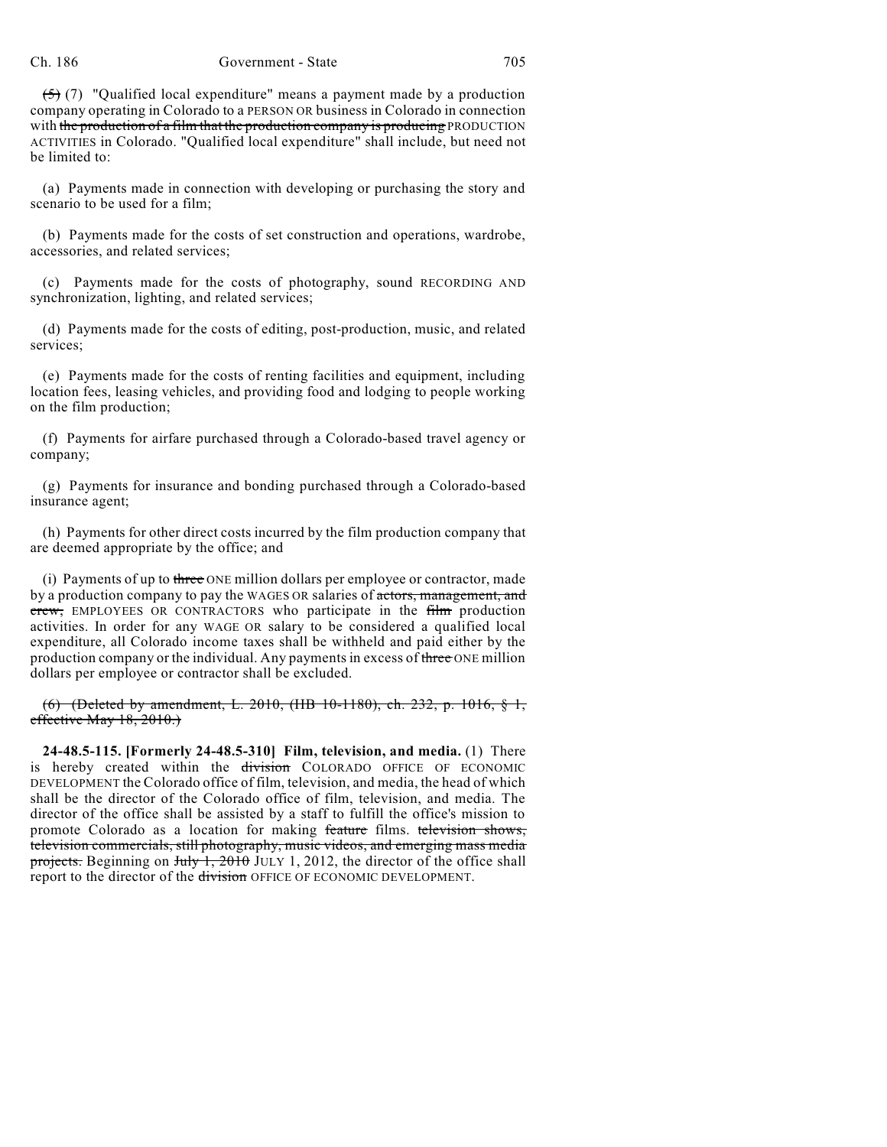$(5)$  (7) "Qualified local expenditure" means a payment made by a production company operating in Colorado to a PERSON OR business in Colorado in connection with the production of a film that the production company is producing PRODUCTION ACTIVITIES in Colorado. "Qualified local expenditure" shall include, but need not be limited to:

(a) Payments made in connection with developing or purchasing the story and scenario to be used for a film;

(b) Payments made for the costs of set construction and operations, wardrobe, accessories, and related services;

(c) Payments made for the costs of photography, sound RECORDING AND synchronization, lighting, and related services;

(d) Payments made for the costs of editing, post-production, music, and related services;

(e) Payments made for the costs of renting facilities and equipment, including location fees, leasing vehicles, and providing food and lodging to people working on the film production;

(f) Payments for airfare purchased through a Colorado-based travel agency or company;

(g) Payments for insurance and bonding purchased through a Colorado-based insurance agent;

(h) Payments for other direct costs incurred by the film production company that are deemed appropriate by the office; and

(i) Payments of up to three ONE million dollars per employee or contractor, made by a production company to pay the WAGES OR salaries of actors, management, and crew, EMPLOYEES OR CONTRACTORS who participate in the film production activities. In order for any WAGE OR salary to be considered a qualified local expenditure, all Colorado income taxes shall be withheld and paid either by the production company or the individual. Any payments in excess of three ONE million dollars per employee or contractor shall be excluded.

(6) (Deleted by amendment, L. 2010, (HB 10-1180), ch. 232, p. 1016, § 1, effective May 18, 2010.)

**24-48.5-115. [Formerly 24-48.5-310] Film, television, and media.** (1) There is hereby created within the division COLORADO OFFICE OF ECONOMIC DEVELOPMENT the Colorado office of film, television, and media, the head of which shall be the director of the Colorado office of film, television, and media. The director of the office shall be assisted by a staff to fulfill the office's mission to promote Colorado as a location for making feature films. television shows, television commercials, still photography, music videos, and emerging mass media projects. Beginning on July 1, 2010 JULY 1, 2012, the director of the office shall report to the director of the division OFFICE OF ECONOMIC DEVELOPMENT.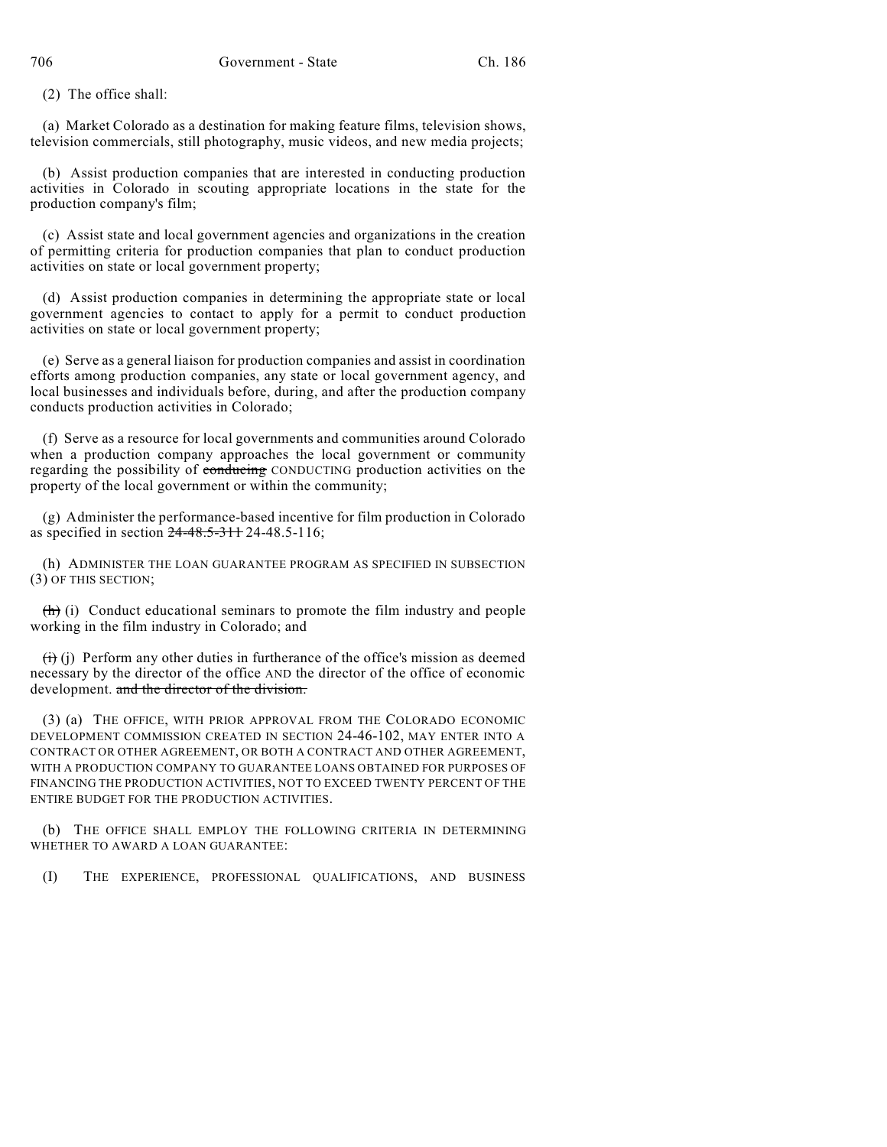(2) The office shall:

(a) Market Colorado as a destination for making feature films, television shows, television commercials, still photography, music videos, and new media projects;

(b) Assist production companies that are interested in conducting production activities in Colorado in scouting appropriate locations in the state for the production company's film;

(c) Assist state and local government agencies and organizations in the creation of permitting criteria for production companies that plan to conduct production activities on state or local government property;

(d) Assist production companies in determining the appropriate state or local government agencies to contact to apply for a permit to conduct production activities on state or local government property;

(e) Serve as a general liaison for production companies and assist in coordination efforts among production companies, any state or local government agency, and local businesses and individuals before, during, and after the production company conducts production activities in Colorado;

(f) Serve as a resource for local governments and communities around Colorado when a production company approaches the local government or community regarding the possibility of conducing CONDUCTING production activities on the property of the local government or within the community;

(g) Administer the performance-based incentive for film production in Colorado as specified in section 24-48.5-311 24-48.5-116;

(h) ADMINISTER THE LOAN GUARANTEE PROGRAM AS SPECIFIED IN SUBSECTION (3) OF THIS SECTION;

 $\langle h \rangle$  (i) Conduct educational seminars to promote the film industry and people working in the film industry in Colorado; and

 $(ii)$  (i) Perform any other duties in furtherance of the office's mission as deemed necessary by the director of the office AND the director of the office of economic development. and the director of the division.

(3) (a) THE OFFICE, WITH PRIOR APPROVAL FROM THE COLORADO ECONOMIC DEVELOPMENT COMMISSION CREATED IN SECTION 24-46-102, MAY ENTER INTO A CONTRACT OR OTHER AGREEMENT, OR BOTH A CONTRACT AND OTHER AGREEMENT, WITH A PRODUCTION COMPANY TO GUARANTEE LOANS OBTAINED FOR PURPOSES OF FINANCING THE PRODUCTION ACTIVITIES, NOT TO EXCEED TWENTY PERCENT OF THE ENTIRE BUDGET FOR THE PRODUCTION ACTIVITIES.

(b) THE OFFICE SHALL EMPLOY THE FOLLOWING CRITERIA IN DETERMINING WHETHER TO AWARD A LOAN GUARANTEE:

(I) THE EXPERIENCE, PROFESSIONAL QUALIFICATIONS, AND BUSINESS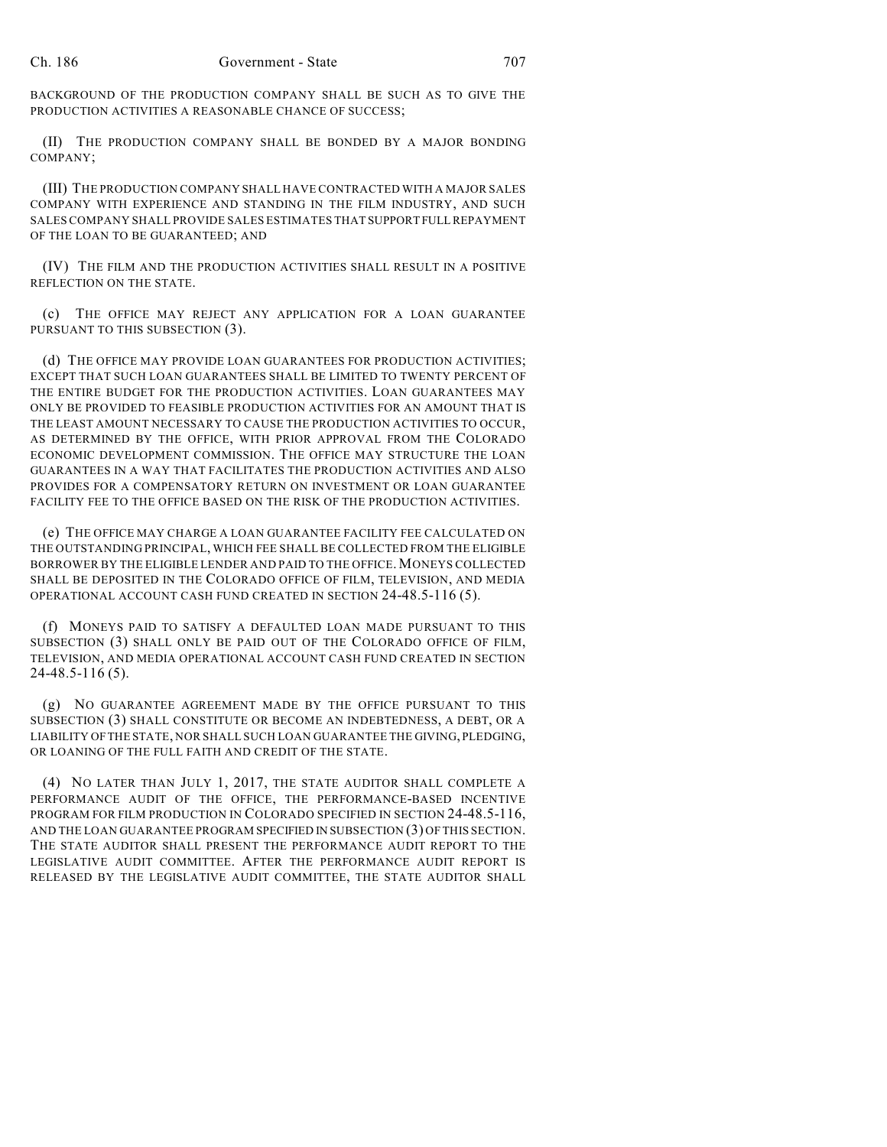BACKGROUND OF THE PRODUCTION COMPANY SHALL BE SUCH AS TO GIVE THE PRODUCTION ACTIVITIES A REASONABLE CHANCE OF SUCCESS;

(II) THE PRODUCTION COMPANY SHALL BE BONDED BY A MAJOR BONDING COMPANY;

(III) THE PRODUCTION COMPANY SHALL HAVE CONTRACTED WITH A MAJOR SALES COMPANY WITH EXPERIENCE AND STANDING IN THE FILM INDUSTRY, AND SUCH SALES COMPANY SHALL PROVIDE SALES ESTIMATES THAT SUPPORT FULL REPAYMENT OF THE LOAN TO BE GUARANTEED; AND

(IV) THE FILM AND THE PRODUCTION ACTIVITIES SHALL RESULT IN A POSITIVE REFLECTION ON THE STATE.

(c) THE OFFICE MAY REJECT ANY APPLICATION FOR A LOAN GUARANTEE PURSUANT TO THIS SUBSECTION (3).

(d) THE OFFICE MAY PROVIDE LOAN GUARANTEES FOR PRODUCTION ACTIVITIES; EXCEPT THAT SUCH LOAN GUARANTEES SHALL BE LIMITED TO TWENTY PERCENT OF THE ENTIRE BUDGET FOR THE PRODUCTION ACTIVITIES. LOAN GUARANTEES MAY ONLY BE PROVIDED TO FEASIBLE PRODUCTION ACTIVITIES FOR AN AMOUNT THAT IS THE LEAST AMOUNT NECESSARY TO CAUSE THE PRODUCTION ACTIVITIES TO OCCUR, AS DETERMINED BY THE OFFICE, WITH PRIOR APPROVAL FROM THE COLORADO ECONOMIC DEVELOPMENT COMMISSION. THE OFFICE MAY STRUCTURE THE LOAN GUARANTEES IN A WAY THAT FACILITATES THE PRODUCTION ACTIVITIES AND ALSO PROVIDES FOR A COMPENSATORY RETURN ON INVESTMENT OR LOAN GUARANTEE FACILITY FEE TO THE OFFICE BASED ON THE RISK OF THE PRODUCTION ACTIVITIES.

(e) THE OFFICE MAY CHARGE A LOAN GUARANTEE FACILITY FEE CALCULATED ON THE OUTSTANDING PRINCIPAL, WHICH FEE SHALL BE COLLECTED FROM THE ELIGIBLE BORROWER BY THE ELIGIBLE LENDER AND PAID TO THE OFFICE.MONEYS COLLECTED SHALL BE DEPOSITED IN THE COLORADO OFFICE OF FILM, TELEVISION, AND MEDIA OPERATIONAL ACCOUNT CASH FUND CREATED IN SECTION 24-48.5-116 (5).

(f) MONEYS PAID TO SATISFY A DEFAULTED LOAN MADE PURSUANT TO THIS SUBSECTION (3) SHALL ONLY BE PAID OUT OF THE COLORADO OFFICE OF FILM, TELEVISION, AND MEDIA OPERATIONAL ACCOUNT CASH FUND CREATED IN SECTION 24-48.5-116 (5).

(g) NO GUARANTEE AGREEMENT MADE BY THE OFFICE PURSUANT TO THIS SUBSECTION (3) SHALL CONSTITUTE OR BECOME AN INDEBTEDNESS, A DEBT, OR A LIABILITY OFTHE STATE, NOR SHALL SUCH LOAN GUARANTEE THE GIVING, PLEDGING, OR LOANING OF THE FULL FAITH AND CREDIT OF THE STATE.

(4) NO LATER THAN JULY 1, 2017, THE STATE AUDITOR SHALL COMPLETE A PERFORMANCE AUDIT OF THE OFFICE, THE PERFORMANCE-BASED INCENTIVE PROGRAM FOR FILM PRODUCTION IN COLORADO SPECIFIED IN SECTION 24-48.5-116, AND THE LOAN GUARANTEE PROGRAM SPECIFIED IN SUBSECTION (3) OF THIS SECTION. THE STATE AUDITOR SHALL PRESENT THE PERFORMANCE AUDIT REPORT TO THE LEGISLATIVE AUDIT COMMITTEE. AFTER THE PERFORMANCE AUDIT REPORT IS RELEASED BY THE LEGISLATIVE AUDIT COMMITTEE, THE STATE AUDITOR SHALL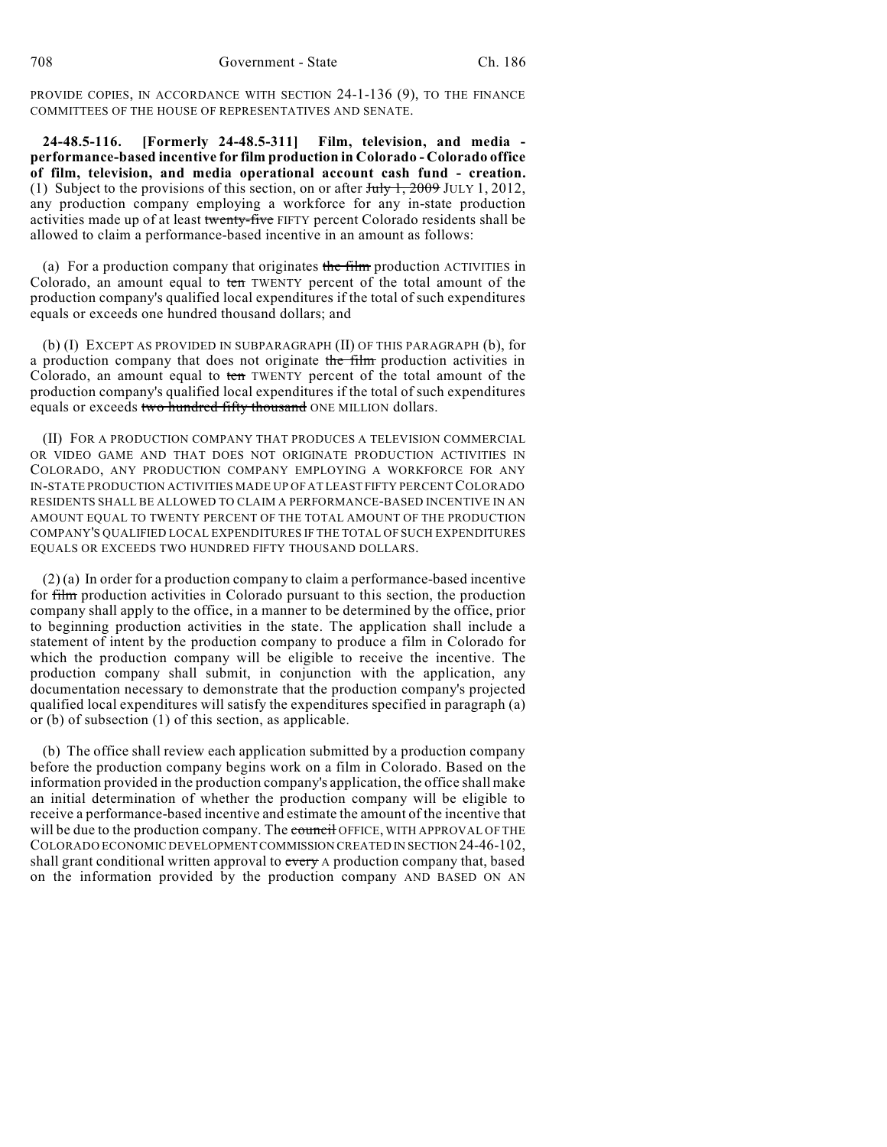PROVIDE COPIES, IN ACCORDANCE WITH SECTION 24-1-136 (9), TO THE FINANCE COMMITTEES OF THE HOUSE OF REPRESENTATIVES AND SENATE.

**24-48.5-116. [Formerly 24-48.5-311] Film, television, and media performance-based incentive for film production in Colorado - Colorado office of film, television, and media operational account cash fund - creation.** (1) Subject to the provisions of this section, on or after  $J_{\text{uly}}$  1, 2009 JULY 1, 2012, any production company employing a workforce for any in-state production activities made up of at least twenty-five FIFTY percent Colorado residents shall be allowed to claim a performance-based incentive in an amount as follows:

(a) For a production company that originates the  $f$ film production ACTIVITIES in Colorado, an amount equal to ten TWENTY percent of the total amount of the production company's qualified local expenditures if the total of such expenditures equals or exceeds one hundred thousand dollars; and

(b) (I) EXCEPT AS PROVIDED IN SUBPARAGRAPH (II) OF THIS PARAGRAPH (b), for a production company that does not originate the film production activities in Colorado, an amount equal to ten TWENTY percent of the total amount of the production company's qualified local expenditures if the total of such expenditures equals or exceeds two hundred fifty thousand ONE MILLION dollars.

(II) FOR A PRODUCTION COMPANY THAT PRODUCES A TELEVISION COMMERCIAL OR VIDEO GAME AND THAT DOES NOT ORIGINATE PRODUCTION ACTIVITIES IN COLORADO, ANY PRODUCTION COMPANY EMPLOYING A WORKFORCE FOR ANY IN-STATE PRODUCTION ACTIVITIES MADE UP OF AT LEAST FIFTY PERCENTCOLORADO RESIDENTS SHALL BE ALLOWED TO CLAIM A PERFORMANCE-BASED INCENTIVE IN AN AMOUNT EQUAL TO TWENTY PERCENT OF THE TOTAL AMOUNT OF THE PRODUCTION COMPANY'S QUALIFIED LOCAL EXPENDITURES IF THE TOTAL OF SUCH EXPENDITURES EQUALS OR EXCEEDS TWO HUNDRED FIFTY THOUSAND DOLLARS.

(2) (a) In order for a production company to claim a performance-based incentive for film production activities in Colorado pursuant to this section, the production company shall apply to the office, in a manner to be determined by the office, prior to beginning production activities in the state. The application shall include a statement of intent by the production company to produce a film in Colorado for which the production company will be eligible to receive the incentive. The production company shall submit, in conjunction with the application, any documentation necessary to demonstrate that the production company's projected qualified local expenditures will satisfy the expenditures specified in paragraph (a) or (b) of subsection (1) of this section, as applicable.

(b) The office shall review each application submitted by a production company before the production company begins work on a film in Colorado. Based on the information provided in the production company's application, the office shall make an initial determination of whether the production company will be eligible to receive a performance-based incentive and estimate the amount of the incentive that will be due to the production company. The council OFFICE, WITH APPROVAL OF THE COLORADO ECONOMIC DEVELOPMENT COMMISSION CREATED IN SECTION 24-46-102, shall grant conditional written approval to every A production company that, based on the information provided by the production company AND BASED ON AN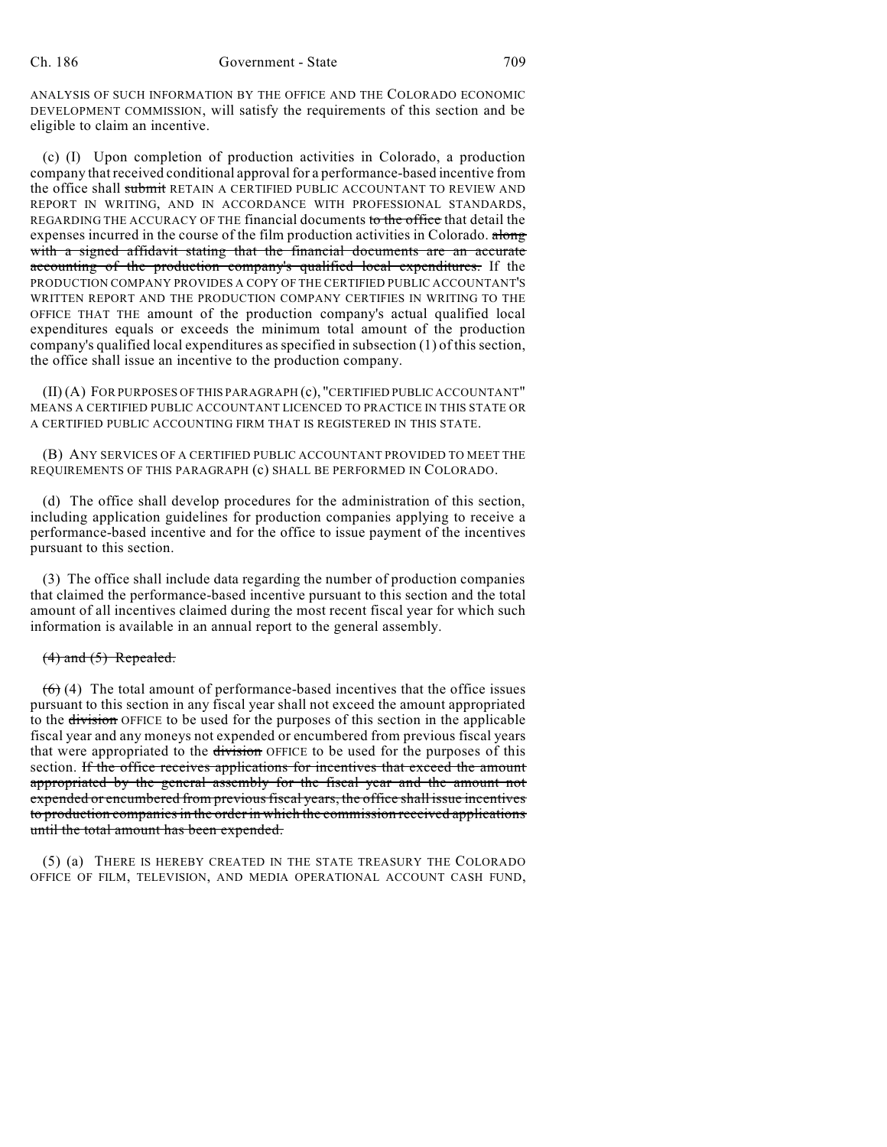ANALYSIS OF SUCH INFORMATION BY THE OFFICE AND THE COLORADO ECONOMIC DEVELOPMENT COMMISSION, will satisfy the requirements of this section and be eligible to claim an incentive.

(c) (I) Upon completion of production activities in Colorado, a production company that received conditional approval for a performance-based incentive from the office shall submit RETAIN A CERTIFIED PUBLIC ACCOUNTANT TO REVIEW AND REPORT IN WRITING, AND IN ACCORDANCE WITH PROFESSIONAL STANDARDS, REGARDING THE ACCURACY OF THE financial documents to the office that detail the expenses incurred in the course of the film production activities in Colorado. along with a signed affidavit stating that the financial documents are an accurate accounting of the production company's qualified local expenditures. If the PRODUCTION COMPANY PROVIDES A COPY OF THE CERTIFIED PUBLIC ACCOUNTANT'S WRITTEN REPORT AND THE PRODUCTION COMPANY CERTIFIES IN WRITING TO THE OFFICE THAT THE amount of the production company's actual qualified local expenditures equals or exceeds the minimum total amount of the production company's qualified local expenditures as specified in subsection (1) of this section, the office shall issue an incentive to the production company.

(II) (A) FOR PURPOSES OF THIS PARAGRAPH (c), "CERTIFIED PUBLIC ACCOUNTANT" MEANS A CERTIFIED PUBLIC ACCOUNTANT LICENCED TO PRACTICE IN THIS STATE OR A CERTIFIED PUBLIC ACCOUNTING FIRM THAT IS REGISTERED IN THIS STATE.

(B) ANY SERVICES OF A CERTIFIED PUBLIC ACCOUNTANT PROVIDED TO MEET THE REQUIREMENTS OF THIS PARAGRAPH (c) SHALL BE PERFORMED IN COLORADO.

(d) The office shall develop procedures for the administration of this section, including application guidelines for production companies applying to receive a performance-based incentive and for the office to issue payment of the incentives pursuant to this section.

(3) The office shall include data regarding the number of production companies that claimed the performance-based incentive pursuant to this section and the total amount of all incentives claimed during the most recent fiscal year for which such information is available in an annual report to the general assembly.

## $(4)$  and  $(5)$  Repealed.

 $(6)$  (4) The total amount of performance-based incentives that the office issues pursuant to this section in any fiscal year shall not exceed the amount appropriated to the division OFFICE to be used for the purposes of this section in the applicable fiscal year and any moneys not expended or encumbered from previous fiscal years that were appropriated to the division OFFICE to be used for the purposes of this section. If the office receives applications for incentives that exceed the amount appropriated by the general assembly for the fiscal year and the amount not expended or encumbered from previous fiscal years, the office shall issue incentives to production companiesin the order in which the commission received applications until the total amount has been expended.

(5) (a) THERE IS HEREBY CREATED IN THE STATE TREASURY THE COLORADO OFFICE OF FILM, TELEVISION, AND MEDIA OPERATIONAL ACCOUNT CASH FUND,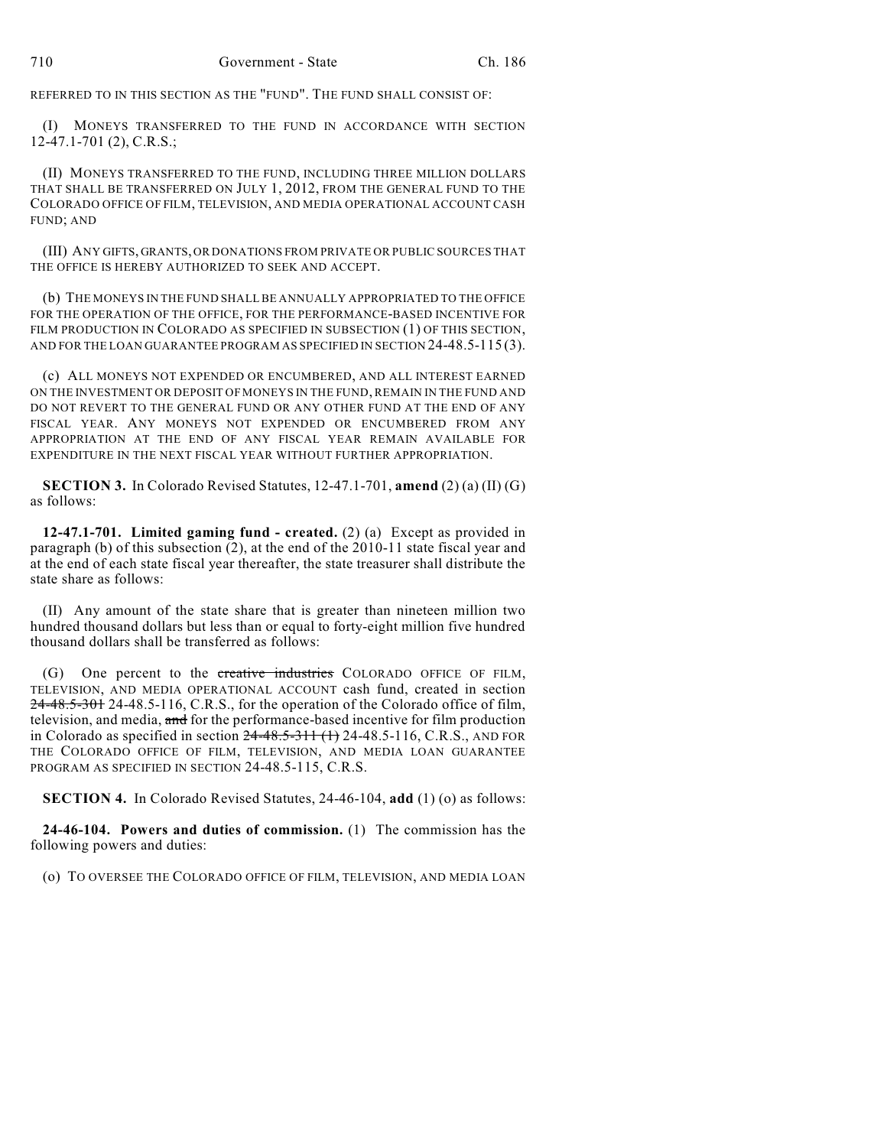REFERRED TO IN THIS SECTION AS THE "FUND". THE FUND SHALL CONSIST OF:

(I) MONEYS TRANSFERRED TO THE FUND IN ACCORDANCE WITH SECTION 12-47.1-701 (2), C.R.S.;

(II) MONEYS TRANSFERRED TO THE FUND, INCLUDING THREE MILLION DOLLARS THAT SHALL BE TRANSFERRED ON JULY 1, 2012, FROM THE GENERAL FUND TO THE COLORADO OFFICE OF FILM, TELEVISION, AND MEDIA OPERATIONAL ACCOUNT CASH FUND; AND

(III) ANY GIFTS, GRANTS, OR DONATIONS FROM PRIVATE OR PUBLIC SOURCES THAT THE OFFICE IS HEREBY AUTHORIZED TO SEEK AND ACCEPT.

(b) THE MONEYS IN THE FUND SHALL BE ANNUALLY APPROPRIATED TO THE OFFICE FOR THE OPERATION OF THE OFFICE, FOR THE PERFORMANCE-BASED INCENTIVE FOR FILM PRODUCTION IN COLORADO AS SPECIFIED IN SUBSECTION (1) OF THIS SECTION, AND FOR THE LOAN GUARANTEE PROGRAM AS SPECIFIED IN SECTION 24-48.5-115 (3).

(c) ALL MONEYS NOT EXPENDED OR ENCUMBERED, AND ALL INTEREST EARNED ON THE INVESTMENT OR DEPOSIT OF MONEYS IN THE FUND, REMAIN IN THE FUND AND DO NOT REVERT TO THE GENERAL FUND OR ANY OTHER FUND AT THE END OF ANY FISCAL YEAR. ANY MONEYS NOT EXPENDED OR ENCUMBERED FROM ANY APPROPRIATION AT THE END OF ANY FISCAL YEAR REMAIN AVAILABLE FOR EXPENDITURE IN THE NEXT FISCAL YEAR WITHOUT FURTHER APPROPRIATION.

**SECTION 3.** In Colorado Revised Statutes, 12-47.1-701, **amend** (2) (a) (II) (G) as follows:

**12-47.1-701. Limited gaming fund - created.** (2) (a) Except as provided in paragraph (b) of this subsection (2), at the end of the 2010-11 state fiscal year and at the end of each state fiscal year thereafter, the state treasurer shall distribute the state share as follows:

(II) Any amount of the state share that is greater than nineteen million two hundred thousand dollars but less than or equal to forty-eight million five hundred thousand dollars shall be transferred as follows:

(G) One percent to the creative industries COLORADO OFFICE OF FILM, TELEVISION, AND MEDIA OPERATIONAL ACCOUNT cash fund, created in section 24-48.5-301 24-48.5-116, C.R.S., for the operation of the Colorado office of film, television, and media, and for the performance-based incentive for film production in Colorado as specified in section 24-48.5-311 (1) 24-48.5-116, C.R.S., AND FOR THE COLORADO OFFICE OF FILM, TELEVISION, AND MEDIA LOAN GUARANTEE PROGRAM AS SPECIFIED IN SECTION 24-48.5-115, C.R.S.

**SECTION 4.** In Colorado Revised Statutes, 24-46-104, **add** (1) (o) as follows:

**24-46-104. Powers and duties of commission.** (1) The commission has the following powers and duties:

(o) TO OVERSEE THE COLORADO OFFICE OF FILM, TELEVISION, AND MEDIA LOAN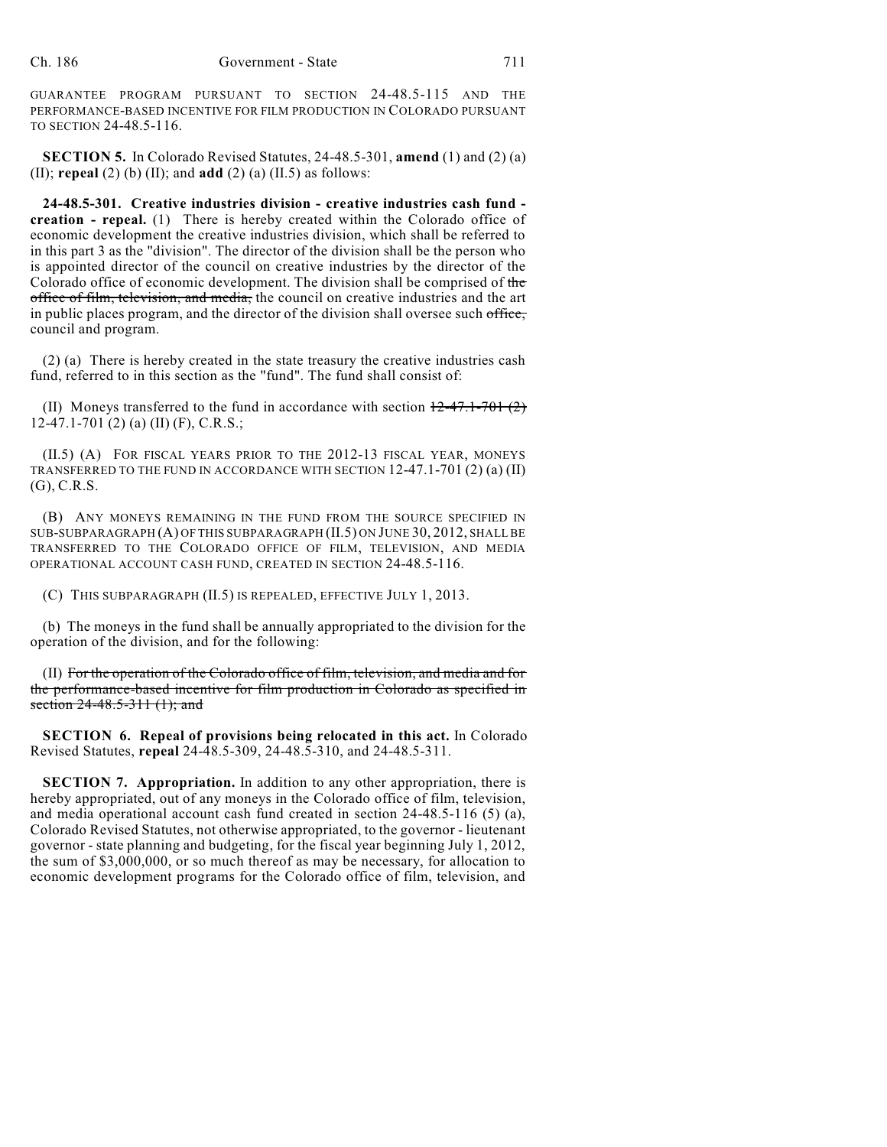GUARANTEE PROGRAM PURSUANT TO SECTION 24-48.5-115 AND THE PERFORMANCE-BASED INCENTIVE FOR FILM PRODUCTION IN COLORADO PURSUANT TO SECTION 24-48.5-116.

**SECTION 5.** In Colorado Revised Statutes, 24-48.5-301, **amend** (1) and (2) (a) (II); **repeal** (2) (b) (II); and **add** (2) (a) (II.5) as follows:

**24-48.5-301. Creative industries division - creative industries cash fund creation - repeal.** (1) There is hereby created within the Colorado office of economic development the creative industries division, which shall be referred to in this part 3 as the "division". The director of the division shall be the person who is appointed director of the council on creative industries by the director of the Colorado office of economic development. The division shall be comprised of the office of film, television, and media, the council on creative industries and the art in public places program, and the director of the division shall oversee such office, council and program.

(2) (a) There is hereby created in the state treasury the creative industries cash fund, referred to in this section as the "fund". The fund shall consist of:

(II) Moneys transferred to the fund in accordance with section  $12-47.1-701(2)$ 12-47.1-701 (2) (a) (II) (F), C.R.S.;

(II.5) (A) FOR FISCAL YEARS PRIOR TO THE 2012-13 FISCAL YEAR, MONEYS TRANSFERRED TO THE FUND IN ACCORDANCE WITH SECTION 12-47.1-701 (2) (a) (II) (G), C.R.S.

(B) ANY MONEYS REMAINING IN THE FUND FROM THE SOURCE SPECIFIED IN SUB-SUBPARAGRAPH (A) OF THIS SUBPARAGRAPH (II.5) ON JUNE 30, 2012, SHALL BE TRANSFERRED TO THE COLORADO OFFICE OF FILM, TELEVISION, AND MEDIA OPERATIONAL ACCOUNT CASH FUND, CREATED IN SECTION 24-48.5-116.

(C) THIS SUBPARAGRAPH (II.5) IS REPEALED, EFFECTIVE JULY 1, 2013.

(b) The moneys in the fund shall be annually appropriated to the division for the operation of the division, and for the following:

(II) For the operation of the Colorado office of film, television, and media and for the performance-based incentive for film production in Colorado as specified in section 24-48.5-311 (1); and

**SECTION 6. Repeal of provisions being relocated in this act.** In Colorado Revised Statutes, **repeal** 24-48.5-309, 24-48.5-310, and 24-48.5-311.

**SECTION 7. Appropriation.** In addition to any other appropriation, there is hereby appropriated, out of any moneys in the Colorado office of film, television, and media operational account cash fund created in section 24-48.5-116 (5) (a), Colorado Revised Statutes, not otherwise appropriated, to the governor - lieutenant governor - state planning and budgeting, for the fiscal year beginning July 1, 2012, the sum of \$3,000,000, or so much thereof as may be necessary, for allocation to economic development programs for the Colorado office of film, television, and